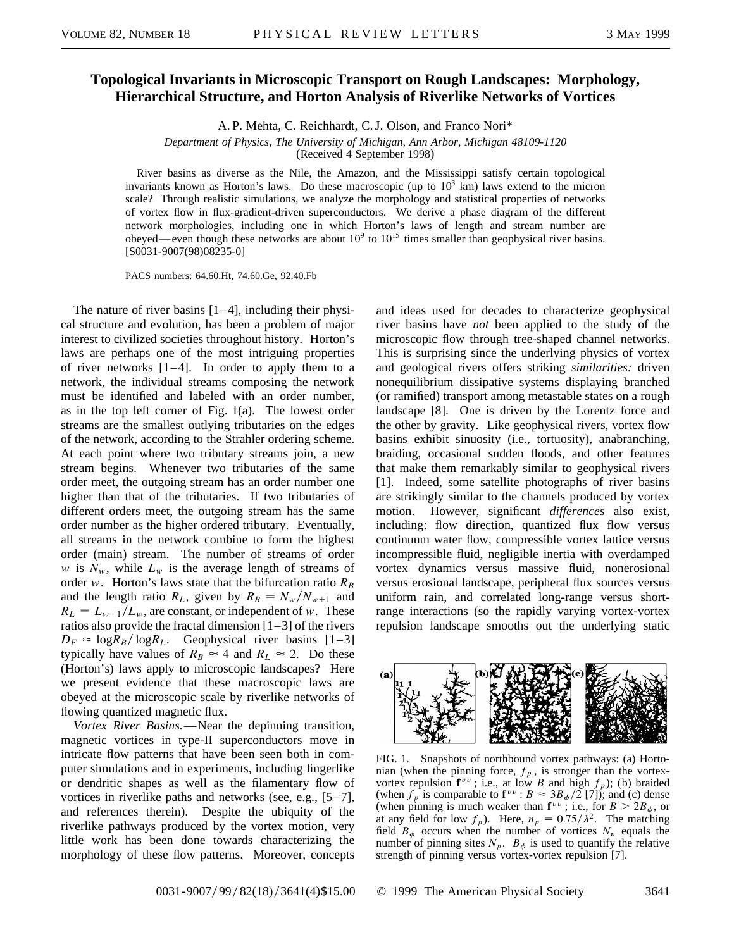## **Topological Invariants in Microscopic Transport on Rough Landscapes: Morphology, Hierarchical Structure, and Horton Analysis of Riverlike Networks of Vortices**

A. P. Mehta, C. Reichhardt, C. J. Olson, and Franco Nori\*

*Department of Physics, The University of Michigan, Ann Arbor, Michigan 48109-1120*

(Received 4 September 1998)

River basins as diverse as the Nile, the Amazon, and the Mississippi satisfy certain topological invariants known as Horton's laws. Do these macroscopic (up to  $10<sup>3</sup>$  km) laws extend to the micron scale? Through realistic simulations, we analyze the morphology and statistical properties of networks of vortex flow in flux-gradient-driven superconductors. We derive a phase diagram of the different network morphologies, including one in which Horton's laws of length and stream number are obeyed—even though these networks are about  $10^9$  to  $10^{15}$  times smaller than geophysical river basins. [S0031-9007(98)08235-0]

PACS numbers: 64.60.Ht, 74.60.Ge, 92.40.Fb

The nature of river basins  $[1-4]$ , including their physical structure and evolution, has been a problem of major interest to civilized societies throughout history. Horton's laws are perhaps one of the most intriguing properties of river networks  $[1-4]$ . In order to apply them to a network, the individual streams composing the network must be identified and labeled with an order number, as in the top left corner of Fig. 1(a). The lowest order streams are the smallest outlying tributaries on the edges of the network, according to the Strahler ordering scheme. At each point where two tributary streams join, a new stream begins. Whenever two tributaries of the same order meet, the outgoing stream has an order number one higher than that of the tributaries. If two tributaries of different orders meet, the outgoing stream has the same order number as the higher ordered tributary. Eventually, all streams in the network combine to form the highest order (main) stream. The number of streams of order *w* is  $N_w$ , while  $L_w$  is the average length of streams of order *w*. Horton's laws state that the bifurcation ratio  $R_B$ and the length ratio  $R_L$ , given by  $R_B = N_w / N_{w+1}$  and  $R_L = L_{w+1}/L_w$ , are constant, or independent of *w*. These ratios also provide the fractal dimension  $[1-3]$  of the rivers  $D_F \approx \log R_B / \log R_L$ . Geophysical river basins [1–3] typically have values of  $R_B \approx 4$  and  $R_L \approx 2$ . Do these (Horton's) laws apply to microscopic landscapes? Here we present evidence that these macroscopic laws are obeyed at the microscopic scale by riverlike networks of flowing quantized magnetic flux.

*Vortex River Basins.*—Near the depinning transition, magnetic vortices in type-II superconductors move in intricate flow patterns that have been seen both in computer simulations and in experiments, including fingerlike or dendritic shapes as well as the filamentary flow of vortices in riverlike paths and networks (see, e.g., [5–7], and references therein). Despite the ubiquity of the riverlike pathways produced by the vortex motion, very little work has been done towards characterizing the morphology of these flow patterns. Moreover, concepts and ideas used for decades to characterize geophysical river basins have *not* been applied to the study of the microscopic flow through tree-shaped channel networks. This is surprising since the underlying physics of vortex and geological rivers offers striking *similarities:* driven nonequilibrium dissipative systems displaying branched (or ramified) transport among metastable states on a rough landscape [8]. One is driven by the Lorentz force and the other by gravity. Like geophysical rivers, vortex flow basins exhibit sinuosity (i.e., tortuosity), anabranching, braiding, occasional sudden floods, and other features that make them remarkably similar to geophysical rivers [1]. Indeed, some satellite photographs of river basins are strikingly similar to the channels produced by vortex motion. However, significant *differences* also exist, including: flow direction, quantized flux flow versus continuum water flow, compressible vortex lattice versus incompressible fluid, negligible inertia with overdamped vortex dynamics versus massive fluid, nonerosional versus erosional landscape, peripheral flux sources versus uniform rain, and correlated long-range versus shortrange interactions (so the rapidly varying vortex-vortex repulsion landscape smooths out the underlying static



FIG. 1. Snapshots of northbound vortex pathways: (a) Hortonian (when the pinning force,  $f_p$ , is stronger than the vortexvortex repulsion  $f^{vv}$ ; i.e., at low *B* and high  $f_p$ ); (b) braided (when  $f_p$  is comparable to  $\mathbf{f}^{vv}$  :  $B \approx 3B_{\phi}/2$  [7]); and (c) dense (when pinning is much weaker than  $f^{vv}$ ; i.e., for  $B > 2B_{\phi}$ , or at any field for low  $f_p$ ). Here,  $n_p = 0.75/\lambda^2$ . The matching field  $B_{\phi}$  occurs when the number of vortices  $N_{\nu}$  equals the number of pinning sites  $N_p$ .  $B_\phi$  is used to quantify the relative strength of pinning versus vortex-vortex repulsion [7].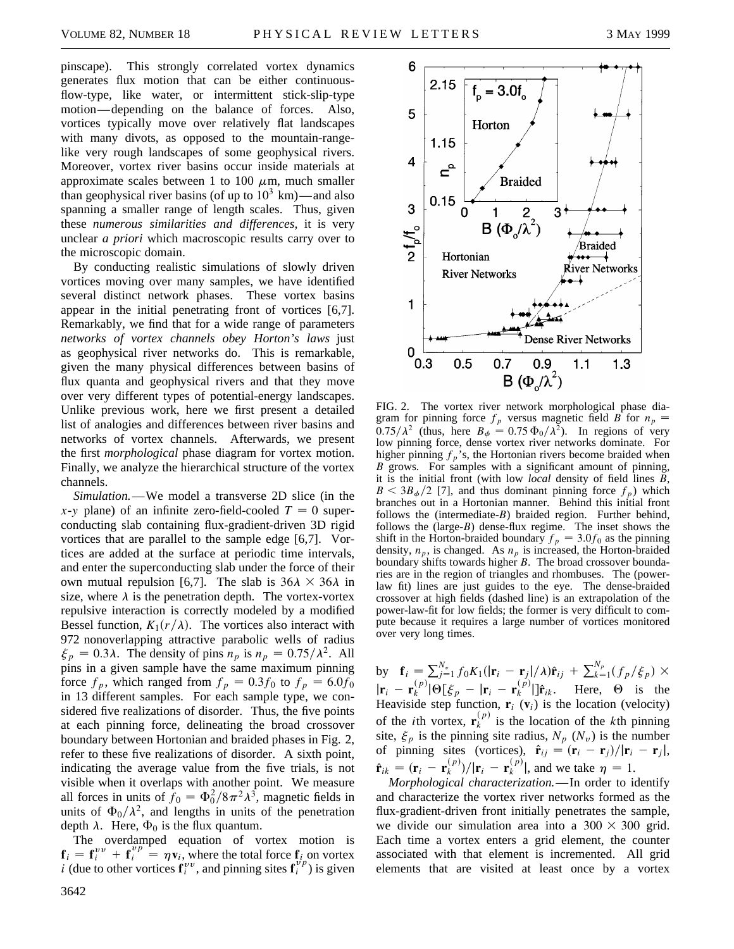pinscape). This strongly correlated vortex dynamics generates flux motion that can be either continuousflow-type, like water, or intermittent stick-slip-type motion—depending on the balance of forces. Also, vortices typically move over relatively flat landscapes with many divots, as opposed to the mountain-rangelike very rough landscapes of some geophysical rivers. Moreover, vortex river basins occur inside materials at approximate scales between 1 to 100  $\mu$ m, much smaller than geophysical river basins (of up to  $10^3$  km)—and also spanning a smaller range of length scales. Thus, given these *numerous similarities and differences,* it is very unclear *a priori* which macroscopic results carry over to the microscopic domain.

By conducting realistic simulations of slowly driven vortices moving over many samples, we have identified several distinct network phases. These vortex basins appear in the initial penetrating front of vortices [6,7]. Remarkably, we find that for a wide range of parameters *networks of vortex channels obey Horton's laws* just as geophysical river networks do. This is remarkable, given the many physical differences between basins of flux quanta and geophysical rivers and that they move over very different types of potential-energy landscapes. Unlike previous work, here we first present a detailed list of analogies and differences between river basins and networks of vortex channels. Afterwards, we present the first *morphological* phase diagram for vortex motion. Finally, we analyze the hierarchical structure of the vortex channels.

*Simulation.*—We model a transverse 2D slice (in the  $x$ -*y* plane) of an infinite zero-field-cooled  $T = 0$  superconducting slab containing flux-gradient-driven 3D rigid vortices that are parallel to the sample edge [6,7]. Vortices are added at the surface at periodic time intervals, and enter the superconducting slab under the force of their own mutual repulsion [6,7]. The slab is  $36\lambda \times 36\lambda$  in size, where  $\lambda$  is the penetration depth. The vortex-vortex repulsive interaction is correctly modeled by a modified Bessel function,  $K_1(r/\lambda)$ . The vortices also interact with 972 nonoverlapping attractive parabolic wells of radius  $\xi_p = 0.3\lambda$ . The density of pins  $n_p$  is  $n_p = 0.75/\lambda^2$ . All pins in a given sample have the same maximum pinning force  $f_p$ , which ranged from  $f_p = 0.3f_0$  to  $f_p = 6.0f_0$ in 13 different samples. For each sample type, we considered five realizations of disorder. Thus, the five points at each pinning force, delineating the broad crossover boundary between Hortonian and braided phases in Fig. 2, refer to these five realizations of disorder. A sixth point, indicating the average value from the five trials, is not visible when it overlaps with another point. We measure all forces in units of  $f_0 = \Phi_0^2 / 8 \pi^2 \lambda^3$ , magnetic fields in units of  $\Phi_0/\lambda^2$ , and lengths in units of the penetration depth  $\lambda$ . Here,  $\Phi_0$  is the flux quantum.

The overdamped equation of vortex motion is  $f_i = f_i^{vv} + f_i^{vp} = \eta v_i$ , where the total force  $f_{i,\rho}$  on vortex *i* (due to other vortices  $\mathbf{f}_i^{vv}$ , and pinning sites  $\mathbf{f}_i^{vp}$ ) is given





FIG. 2. The vortex river network morphological phase diagram for pinning force  $f_p$  versus magnetic field *B* for  $n_p$  =  $0.75/\lambda^2$  (thus, here  $B_{\phi} = 0.75 \Phi_0/\lambda^2$ ). In regions of very low pinning force, dense vortex river networks dominate. For higher pinning  $f_p$ 's, the Hortonian rivers become braided when *B* grows. For samples with a significant amount of pinning, it is the initial front (with low *local* density of field lines *B*,  $B \leq 3B_{\phi}/2$  [7], and thus dominant pinning force  $f_p$ ) which branches out in a Hortonian manner. Behind this initial front follows the (intermediate-*B*) braided region. Further behind, follows the (large-*B*) dense-flux regime. The inset shows the shift in the Horton-braided boundary  $f_p = 3.0f_0$  as the pinning density,  $n_p$ , is changed. As  $n_p$  is increased, the Horton-braided boundary shifts towards higher *B*. The broad crossover boundaries are in the region of triangles and rhombuses. The (powerlaw fit) lines are just guides to the eye. The dense-braided crossover at high fields (dashed line) is an extrapolation of the power-law-fit for low fields; the former is very difficult to compute because it requires a large number of vortices monitored over very long times.

by  $\mathbf{f}_i = \sum_{j=1}^{N_v} f_0 K_1(|\mathbf{r}_i - \mathbf{r}_j|/\lambda) \hat{\mathbf{r}}_{ij} + \sum_{k=1}^{N_p} (f_p/\xi_p) \times$  $|\mathbf{r}_i - \mathbf{r}_k^{(p)}| \Theta[\xi_p - |\mathbf{r}_i - \mathbf{r}_k^{(p)}|] \hat{\mathbf{r}}_{ik}$ . Here,  $\Theta$  is the Heaviside step function,  $\mathbf{r}_i$  ( $\mathbf{v}_i$ ) is the location (velocity) of the *i*th vortex,  $\mathbf{r}_k^{(p)}$  is the location of the *k*th pinning site,  $\xi_p$  is the pinning site radius,  $N_p(N_v)$  is the number of pinning sites (vortices),  $\hat{\mathbf{r}}_{ij} = (\mathbf{r}_i - \mathbf{r}_j)/|\mathbf{r}_i - \mathbf{r}_j|$ ,  $\hat{\mathbf{r}}_{ik} = (\mathbf{r}_i - \mathbf{r}_k^{(p)})/|\mathbf{r}_i - \mathbf{r}_k^{(p)}|$ , and we take  $\eta = 1$ .

*Morphological characterization.*— In order to identify and characterize the vortex river networks formed as the flux-gradient-driven front initially penetrates the sample, we divide our simulation area into a  $300 \times 300$  grid. Each time a vortex enters a grid element, the counter associated with that element is incremented. All grid elements that are visited at least once by a vortex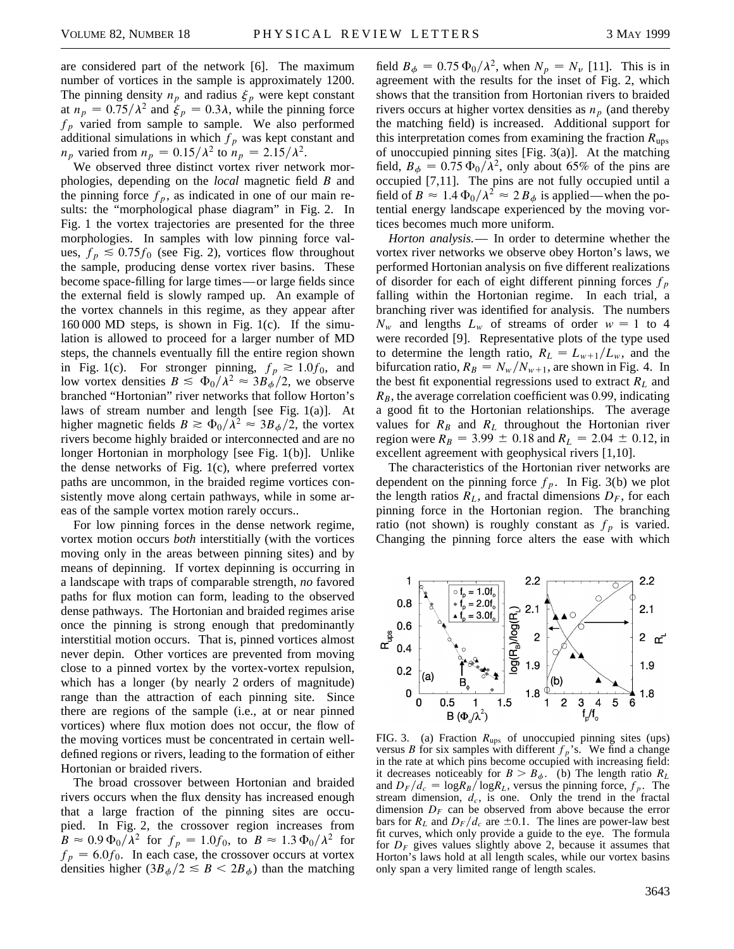are considered part of the network [6]. The maximum number of vortices in the sample is approximately 1200. The pinning density  $n_p$  and radius  $\xi_p$  were kept constant at  $n_p = 0.75/\lambda^2$  and  $\xi_p = 0.3\lambda$ , while the pinning force  $f_p$  varied from sample to sample. We also performed additional simulations in which  $f_p$  was kept constant and  $n_p$  varied from  $n_p = 0.15/\lambda^2$  to  $n_p = 2.15/\lambda^2$ .

We observed three distinct vortex river network morphologies, depending on the *local* magnetic field *B* and the pinning force  $f_p$ , as indicated in one of our main results: the "morphological phase diagram" in Fig. 2. In Fig. 1 the vortex trajectories are presented for the three morphologies. In samples with low pinning force values,  $f_p \leq 0.75 f_0$  (see Fig. 2), vortices flow throughout the sample, producing dense vortex river basins. These become space-filling for large times—or large fields since the external field is slowly ramped up. An example of the vortex channels in this regime, as they appear after 160 000 MD steps, is shown in Fig. 1(c). If the simulation is allowed to proceed for a larger number of MD steps, the channels eventually fill the entire region shown in Fig. 1(c). For stronger pinning,  $f_p \ge 1.0f_0$ , and low vortex densities  $B \leq \Phi_0/\lambda^2 \approx 3B_\phi/2$ , we observe branched "Hortonian" river networks that follow Horton's laws of stream number and length [see Fig. 1(a)]. At higher magnetic fields  $B \ge \Phi_0/\lambda^2 \approx 3B_\phi/2$ , the vortex rivers become highly braided or interconnected and are no longer Hortonian in morphology [see Fig. 1(b)]. Unlike the dense networks of Fig. 1(c), where preferred vortex paths are uncommon, in the braided regime vortices consistently move along certain pathways, while in some areas of the sample vortex motion rarely occurs..

For low pinning forces in the dense network regime, vortex motion occurs *both* interstitially (with the vortices moving only in the areas between pinning sites) and by means of depinning. If vortex depinning is occurring in a landscape with traps of comparable strength, *no* favored paths for flux motion can form, leading to the observed dense pathways. The Hortonian and braided regimes arise once the pinning is strong enough that predominantly interstitial motion occurs. That is, pinned vortices almost never depin. Other vortices are prevented from moving close to a pinned vortex by the vortex-vortex repulsion, which has a longer (by nearly 2 orders of magnitude) range than the attraction of each pinning site. Since there are regions of the sample (i.e., at or near pinned vortices) where flux motion does not occur, the flow of the moving vortices must be concentrated in certain welldefined regions or rivers, leading to the formation of either Hortonian or braided rivers.

The broad crossover between Hortonian and braided rivers occurs when the flux density has increased enough that a large fraction of the pinning sites are occupied. In Fig. 2, the crossover region increases from  $B \approx 0.9 \Phi_0 / \lambda^2$  for  $f_p = 1.0 f_0$ , to  $B \approx 1.3 \Phi_0 / \lambda^2$  for  $f_p = 6.0f_0$ . In each case, the crossover occurs at vortex densities higher  $(3B_{\phi}/2 \leq B < 2B_{\phi})$  than the matching field  $B_{\phi} = 0.75 \Phi_0 / \lambda^2$ , when  $N_p = N_v$  [11]. This is in agreement with the results for the inset of Fig. 2, which shows that the transition from Hortonian rivers to braided rivers occurs at higher vortex densities as  $n_p$  (and thereby the matching field) is increased. Additional support for this interpretation comes from examining the fraction  $R_{\text{uns}}$ of unoccupied pinning sites [Fig. 3(a)]. At the matching field,  $B_{\phi} = 0.75 \Phi_0 / \lambda^2$ , only about 65% of the pins are occupied [7,11]. The pins are not fully occupied until a field of  $B \approx 1.4 \Phi_0 / \lambda^2 \approx 2 B_\phi$  is applied—when the potential energy landscape experienced by the moving vortices becomes much more uniform.

*Horton analysis.*— In order to determine whether the vortex river networks we observe obey Horton's laws, we performed Hortonian analysis on five different realizations of disorder for each of eight different pinning forces  $f_p$ falling within the Hortonian regime. In each trial, a branching river was identified for analysis. The numbers  $N_w$  and lengths  $L_w$  of streams of order  $w = 1$  to 4 were recorded [9]. Representative plots of the type used to determine the length ratio,  $R_L = L_{w+1}/L_w$ , and the bifurcation ratio,  $R_B = N_w / N_{w+1}$ , are shown in Fig. 4. In the best fit exponential regressions used to extract *RL* and  $R_B$ , the average correlation coefficient was 0.99, indicating a good fit to the Hortonian relationships. The average values for  $R_B$  and  $R_L$  throughout the Hortonian river region were  $R_B = 3.99 \pm 0.18$  and  $R_L = 2.04 \pm 0.12$ , in excellent agreement with geophysical rivers [1,10].

The characteristics of the Hortonian river networks are dependent on the pinning force  $f_p$ . In Fig. 3(b) we plot the length ratios  $R_L$ , and fractal dimensions  $D_F$ , for each pinning force in the Hortonian region. The branching ratio (not shown) is roughly constant as  $f_p$  is varied. Changing the pinning force alters the ease with which



FIG. 3. (a) Fraction  $R_{\text{ups}}$  of unoccupied pinning sites (ups) versus *B* for six samples with different  $f_p$ 's. We find a change in the rate at which pins become occupied with increasing field: it decreases noticeably for  $B > B_{\phi}$ . (b) The length ratio  $R_L$ and  $D_F/d_c = \log R_B / \log R_L$ , versus the pinning force,  $f_p$ . The stream dimension,  $d_c$ , is one. Only the trend in the fractal dimension  $D_F$  can be observed from above because the error bars for  $R_L$  and  $D_F/d_c$  are  $\pm 0.1$ . The lines are power-law best fit curves, which only provide a guide to the eye. The formula for  $D_F$  gives values slightly above 2, because it assumes that Horton's laws hold at all length scales, while our vortex basins only span a very limited range of length scales.